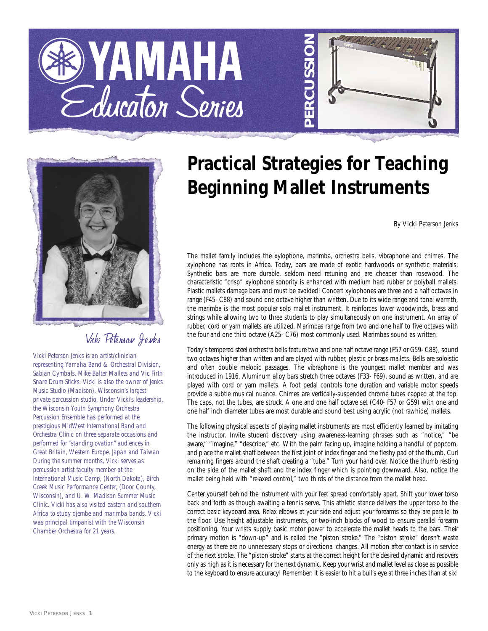





## Vicki Peterson Jenks

*Vicki Peterson Jenks is an artist/clinician representing Yamaha Band & Orchestral Division, Sabian Cymbals, Mike Balter Mallets and Vic Firth Snare Drum Sticks. Vicki is also the owner of Jenks Music Studio (Madison), Wisconsin's largest private percussion studio. Under Vicki's leadership, the Wisconsin Youth Symphony Orchestra Percussion Ensemble has performed at the prestigious MidWest International Band and Orchestra Clinic on three separate occasions and performed for "standing ovation" audiences in Great Britain, Western Europe, Japan and Taiwan. During the summer months, Vicki serves as percussion artist faculty member at the International Music Camp, (North Dakota), Birch Creek Music Performance Center, (Door County, Wisconsin), and U. W. Madison Summer Music Clinic. Vicki has also visited eastern and southern Africa to study djembe and marimba bands. Vicki was principal timpanist with the Wisconsin Chamber Orchestra for 21 years.*

## **Practical Strategies for Teaching Beginning Mallet Instruments**

*By Vicki Peterson Jenks*

The mallet family includes the xylophone, marimba, orchestra bells, vibraphone and chimes. The xylophone has roots in Africa. Today, bars are made of exotic hardwoods or synthetic materials. Synthetic bars are more durable, seldom need retuning and are cheaper than rosewood. The characteristic "crisp" xylophone sonority is enhanced with medium hard rubber or polyball mallets. Plastic mallets damage bars and must be avoided! Concert xylophones are three and a half octaves in range (F45- C88) and sound one octave higher than written. Due to its wide range and tonal warmth, the marimba is the most popular solo mallet instrument. It reinforces lower woodwinds, brass and strings while allowing two to three students to play simultaneously on one instrument. An array of rubber, cord or yarn mallets are utilized. Marimbas range from two and one half to five octaves with the four and one third octave (A25- C76) most commonly used. Marimbas sound as written.

Today's tempered steel orchestra bells feature two and one half octave range (F57 or G59- C88), sound two octaves higher than written and are played with rubber, plastic or brass mallets. Bells are soloistic and often double melodic passages. The vibraphone is the youngest mallet member and was introduced in 1916. Aluminum alloy bars stretch three octaves (F33- F69), sound as written, and are played with cord or yarn mallets. A foot pedal controls tone duration and variable motor speeds provide a subtle musical nuance. Chimes are vertically-suspended chrome tubes capped at the top. The caps, not the tubes, are struck. A one and one half octave set (C40- F57 or G59) with one and one half inch diameter tubes are most durable and sound best using acrylic (not rawhide) mallets.

The following physical aspects of playing mallet instruments are most efficiently learned by imitating the instructor. Invite student discovery using awareness-learning phrases such as "notice," "be aware," "imagine," "describe," etc. With the palm facing up, imagine holding a handful of popcorn, and place the mallet shaft between the first joint of index finger and the fleshy pad of the thumb. Curl remaining fingers around the shaft creating a "tube." Turn your hand over. Notice the thumb resting on the side of the mallet shaft and the index finger which is pointing downward. Also, notice the mallet being held with "relaxed control," two thirds of the distance from the mallet head.

Center yourself behind the instrument with your feet spread comfortably apart. Shift your lower torso back and forth as though awaiting a tennis serve. This athletic stance delivers the upper torso to the correct basic keyboard area. Relax elbows at your side and adjust your forearms so they are parallel to the floor. Use height adjustable instruments, or two-inch blocks of wood to ensure parallel forearm positioning. Your wrists supply basic motor power to accelerate the mallet heads to the bars. Their primary motion is "down-up" and is called the "piston stroke." The "piston stroke" doesn't waste energy as there are no unnecessary stops or directional changes. All motion after contact is in service of the next stroke. The "piston stroke" starts at the correct height for the desired dynamic and recovers only as high as it is necessary for the next dynamic. Keep your wrist and mallet level as close as possible to the keyboard to ensure accuracy! Remember: it is easier to hit a bull's eye at three inches than at six!